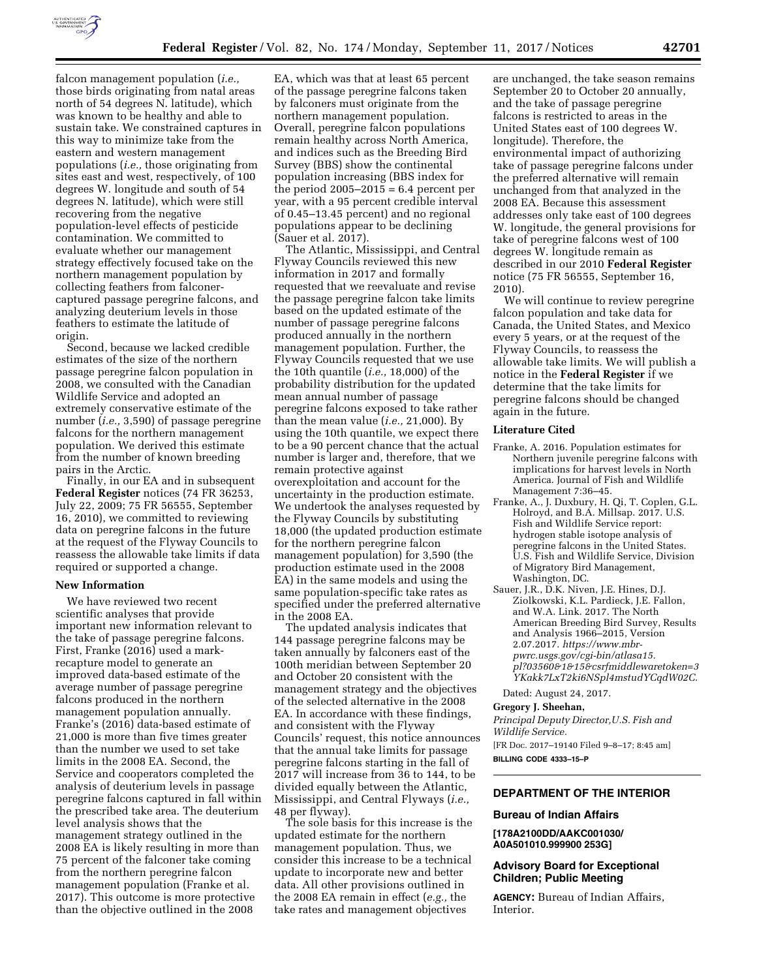

falcon management population (*i.e.,*  those birds originating from natal areas north of 54 degrees N. latitude), which was known to be healthy and able to sustain take. We constrained captures in this way to minimize take from the eastern and western management populations (*i.e.,* those originating from sites east and west, respectively, of 100 degrees W. longitude and south of 54 degrees N. latitude), which were still recovering from the negative population-level effects of pesticide contamination. We committed to evaluate whether our management strategy effectively focused take on the northern management population by collecting feathers from falconercaptured passage peregrine falcons, and analyzing deuterium levels in those feathers to estimate the latitude of origin.

Second, because we lacked credible estimates of the size of the northern passage peregrine falcon population in 2008, we consulted with the Canadian Wildlife Service and adopted an extremely conservative estimate of the number (*i.e.,* 3,590) of passage peregrine falcons for the northern management population. We derived this estimate from the number of known breeding pairs in the Arctic.

Finally, in our EA and in subsequent **Federal Register** notices (74 FR 36253, July 22, 2009; 75 FR 56555, September 16, 2010), we committed to reviewing data on peregrine falcons in the future at the request of the Flyway Councils to reassess the allowable take limits if data required or supported a change.

### **New Information**

We have reviewed two recent scientific analyses that provide important new information relevant to the take of passage peregrine falcons. First, Franke (2016) used a markrecapture model to generate an improved data-based estimate of the average number of passage peregrine falcons produced in the northern management population annually. Franke's (2016) data-based estimate of 21,000 is more than five times greater than the number we used to set take limits in the 2008 EA. Second, the Service and cooperators completed the analysis of deuterium levels in passage peregrine falcons captured in fall within the prescribed take area. The deuterium level analysis shows that the management strategy outlined in the 2008 EA is likely resulting in more than 75 percent of the falconer take coming from the northern peregrine falcon management population (Franke et al. 2017). This outcome is more protective than the objective outlined in the 2008

EA, which was that at least 65 percent of the passage peregrine falcons taken by falconers must originate from the northern management population. Overall, peregrine falcon populations remain healthy across North America, and indices such as the Breeding Bird Survey (BBS) show the continental population increasing (BBS index for the period  $2005-2015 = 6.4$  percent per year, with a 95 percent credible interval of 0.45–13.45 percent) and no regional populations appear to be declining (Sauer et al. 2017).

The Atlantic, Mississippi, and Central Flyway Councils reviewed this new information in 2017 and formally requested that we reevaluate and revise the passage peregrine falcon take limits based on the updated estimate of the number of passage peregrine falcons produced annually in the northern management population. Further, the Flyway Councils requested that we use the 10th quantile (*i.e.,* 18,000) of the probability distribution for the updated mean annual number of passage peregrine falcons exposed to take rather than the mean value (*i.e.,* 21,000). By using the 10th quantile, we expect there to be a 90 percent chance that the actual number is larger and, therefore, that we remain protective against overexploitation and account for the uncertainty in the production estimate. We undertook the analyses requested by the Flyway Councils by substituting 18,000 (the updated production estimate for the northern peregrine falcon management population) for 3,590 (the production estimate used in the 2008 EA) in the same models and using the same population-specific take rates as specified under the preferred alternative in the 2008 EA.

The updated analysis indicates that 144 passage peregrine falcons may be taken annually by falconers east of the 100th meridian between September 20 and October 20 consistent with the management strategy and the objectives of the selected alternative in the 2008 EA. In accordance with these findings, and consistent with the Flyway Councils' request, this notice announces that the annual take limits for passage peregrine falcons starting in the fall of 2017 will increase from 36 to 144, to be divided equally between the Atlantic, Mississippi, and Central Flyways (*i.e.,*  48 per flyway).

The sole basis for this increase is the updated estimate for the northern management population. Thus, we consider this increase to be a technical update to incorporate new and better data. All other provisions outlined in the 2008 EA remain in effect (*e.g.,* the take rates and management objectives

are unchanged, the take season remains September 20 to October 20 annually, and the take of passage peregrine falcons is restricted to areas in the United States east of 100 degrees W. longitude). Therefore, the environmental impact of authorizing take of passage peregrine falcons under the preferred alternative will remain unchanged from that analyzed in the 2008 EA. Because this assessment addresses only take east of 100 degrees W. longitude, the general provisions for take of peregrine falcons west of 100 degrees W. longitude remain as described in our 2010 **Federal Register**  notice (75 FR 56555, September 16, 2010).

We will continue to review peregrine falcon population and take data for Canada, the United States, and Mexico every 5 years, or at the request of the Flyway Councils, to reassess the allowable take limits. We will publish a notice in the **Federal Register** if we determine that the take limits for peregrine falcons should be changed again in the future.

#### **Literature Cited**

- Franke, A. 2016. Population estimates for Northern juvenile peregrine falcons with implications for harvest levels in North America. Journal of Fish and Wildlife Management 7:36–45.
- Franke, A., J. Duxbury, H. Qi, T. Coplen, G.L. Holroyd, and B.A. Millsap. 2017. U.S. Fish and Wildlife Service report: hydrogen stable isotope analysis of peregrine falcons in the United States. U.S. Fish and Wildlife Service, Division of Migratory Bird Management, Washington, DC.
- Sauer, J.R., D.K. Niven, J.E. Hines, D.J. Ziolkowski, K.L. Pardieck, J.E. Fallon, and W.A. Link. 2017. The North American Breeding Bird Survey, Results and Analysis 1966–2015, Version 2.07.2017. *[https://www.mbr](https://www.mbr-pwrc.usgs.gov/cgi-bin/atlasa15.pl?03560&1&15&csrfmiddlewaretoken=3YKakk7LxT2ki6NSpl4mstudYCqdW02C)[pwrc.usgs.gov/cgi-bin/atlasa15.](https://www.mbr-pwrc.usgs.gov/cgi-bin/atlasa15.pl?03560&1&15&csrfmiddlewaretoken=3YKakk7LxT2ki6NSpl4mstudYCqdW02C) [pl?03560&1&15&csrfmiddlewaretoken=3](https://www.mbr-pwrc.usgs.gov/cgi-bin/atlasa15.pl?03560&1&15&csrfmiddlewaretoken=3YKakk7LxT2ki6NSpl4mstudYCqdW02C) [YKakk7LxT2ki6NSpl4mstudYCqdW02C](https://www.mbr-pwrc.usgs.gov/cgi-bin/atlasa15.pl?03560&1&15&csrfmiddlewaretoken=3YKakk7LxT2ki6NSpl4mstudYCqdW02C)*.

Dated: August 24, 2017.

### **Gregory J. Sheehan,**

*Principal Deputy Director,U.S. Fish and Wildlife Service.* 

[FR Doc. 2017–19140 Filed 9–8–17; 8:45 am] **BILLING CODE 4333–15–P** 

# **DEPARTMENT OF THE INTERIOR**

#### **Bureau of Indian Affairs**

**[178A2100DD/AAKC001030/ A0A501010.999900 253G]** 

# **Advisory Board for Exceptional Children; Public Meeting**

**AGENCY:** Bureau of Indian Affairs, Interior.